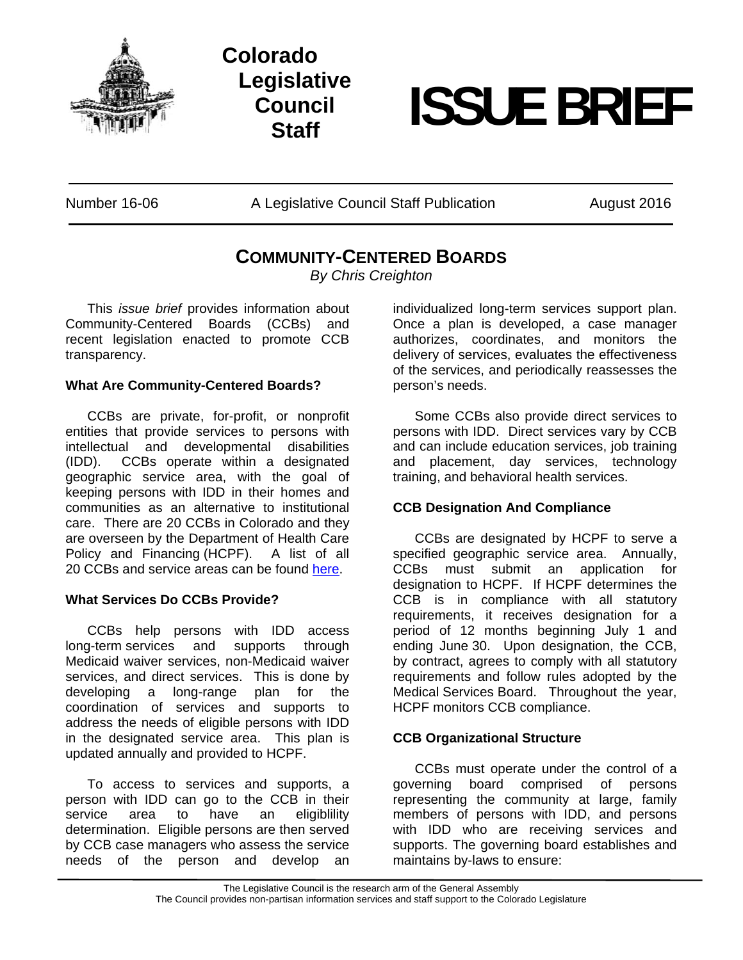

**Colorado Legislative Council** 



Number 16-06 A Legislative Council Staff Publication August 2016

# **COMMUNITY-CENTERED BOARDS**

*By Chris Creighton* 

 This *issue brief* provides information about Community-Centered Boards (CCBs) and recent legislation enacted to promote CCB transparency.

# **What Are Community-Centered Boards?**

 CCBs are private, for-profit, or nonprofit entities that provide services to persons with intellectual and developmental disabilities (IDD). CCBs operate within a designated geographic service area, with the goal of keeping persons with IDD in their homes and communities as an alternative to institutional care. There are 20 CCBs in Colorado and they are overseen by the Department of Health Care Policy and Financing (HCPF). A list of all 20 CCBs and service areas can be found here.

### **What Services Do CCBs Provide?**

 CCBs help persons with IDD access long-term services and supports through Medicaid waiver services, non-Medicaid waiver services, and direct services. This is done by developing a long-range plan for the coordination of services and supports to address the needs of eligible persons with IDD in the designated service area. This plan is updated annually and provided to HCPF.

 To access to services and supports, a person with IDD can go to the CCB in their service area to have an eligiblility determination. Eligible persons are then served by CCB case managers who assess the service needs of the person and develop an

individualized long-term services support plan. Once a plan is developed, a case manager authorizes, coordinates, and monitors the delivery of services, evaluates the effectiveness of the services, and periodically reassesses the person's needs.

 Some CCBs also provide direct services to persons with IDD. Direct services vary by CCB and can include education services, job training and placement, day services, technology training, and behavioral health services.

# **CCB Designation And Compliance**

 CCBs are designated by HCPF to serve a specified geographic service area. Annually, CCBs must submit an application for designation to HCPF. If HCPF determines the CCB is in compliance with all statutory requirements, it receives designation for a period of 12 months beginning July 1 and ending June 30. Upon designation, the CCB, by contract, agrees to comply with all statutory requirements and follow rules adopted by the Medical Services Board. Throughout the year, HCPF monitors CCB compliance.

# **CCB Organizational Structure**

 CCBs must operate under the control of a governing board comprised of persons representing the community at large, family members of persons with IDD, and persons with IDD who are receiving services and supports. The governing board establishes and maintains by-laws to ensure:

The Legislative Council is the research arm of the General Assembly The Council provides non-partisan information services and staff support to the Colorado Legislature